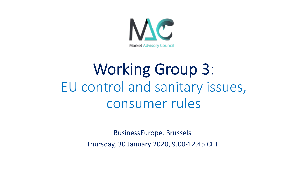

# Working Group 3: EU control and sanitary issues, consumer rules

BusinessEurope, Brussels Thursday, 30 January 2020, 9.00-12.45 CET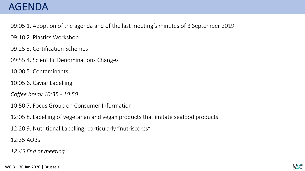## AGENDA

09:05 1. Adoption of the agenda and of the last meeting's minutes of 3 September 2019

09:10 2. Plastics Workshop

09:25 3. Certification Schemes

09:55 4. Scientific Denominations Changes

10:00 5. Contaminants

10:05 6. Caviar Labelling

*Coffee break 10:35 - 10:50*

10:50 7. Focus Group on Consumer Information

12:05 8. Labelling of vegetarian and vegan products that imitate seafood products

12:20 9. Nutritional Labelling, particularly "nutriscores"

12:35 AOBs

*12:45 End of meeting*

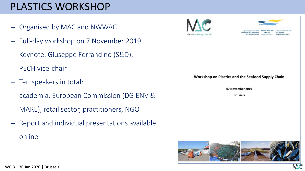## PLASTICS WORKSHOP

- Organised by MAC and NWWAC
- Full-day workshop on 7 November 2019
- Keynote: Giuseppe Ferrandino (S&D), PECH vice-chair
- Ten speakers in total: academia, European Commission (DG ENV & MARE), retail sector, practitioners, NGO
- Report and individual presentations available online

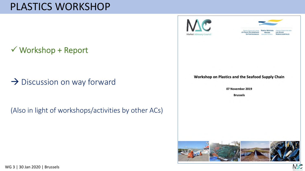### PLASTICS WORKSHOP

 $\checkmark$  Workshop + Report

 $\rightarrow$  Discussion on way forward

(Also in light of workshops/activities by other ACs)





MC

#### Workshop on Plastics and the Seafood Supply Chain

07 November 2019

**Brussels** 

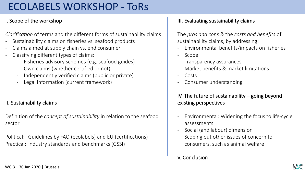## ECOLABELS WORKSHOP - ToRs

#### I. Scope of the workshop

*Clarification* of terms and the different forms of sustainability claims

- Sustainability claims on fisheries vs. seafood products
- Claims aimed at supply chain vs. end consumer
- Classifying different types of claims:
	- Fisheries advisory schemes (e.g. seafood guides)
	- Own claims (whether certified or not)
	- Independently verified claims (public or private)
	- Legal information (current framework)

### II. Sustainability claims

Definition of the *concept of sustainability* in relation to the seafood sector

Political: Guidelines by FAO (ecolabels) and EU (certifications) Practical: Industry standards and benchmarks (GSSI)

### III. Evaluating sustainability claims

The *pros and cons* & the *costs and benefits* of sustainability claims, by addressing:

- Environmental benefits/impacts on fisheries
- Scope
- Transparency assurances
- Market benefits & market limitations
- Costs
- Consumer understanding

#### IV. The future of sustainability – going beyond existing perspectives

- Environmental: Widening the focus to life-cycle assessments
- Social (and labour) dimension
- Scoping out other issues of concern to consumers, such as animal welfare
- V. Conclusion

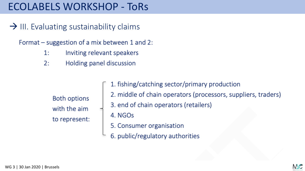### ECOLABELS WORKSHOP - ToRs

 $\rightarrow$  III. Evaluating sustainability claims

Format – suggestion of a mix between 1 and 2:

- Inviting relevant speakers  $1:$
- Holding panel discussion  $2:$

**Both options** with the aim to represent:

1. fishing/catching sector/primary production 2. middle of chain operators (processors, suppliers, traders) 3. end of chain operators (retailers)

4. NGOs

- 5. Consumer organisation
- 6. public/regulatory authorities

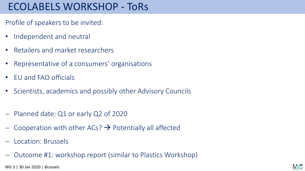### ECOLABELS WORKSHOP - ToRs

- Profile of speakers to be invited:
- Independent and neutral
- Retailers and market researchers
- Representative of a consumers' organisations
- EU and FAO officials
- Scientists, academics and possibly other Advisory Councils
- Planned date: Q1 or early Q2 of 2020
- Cooperation with other  $ACs$ ?  $\rightarrow$  Potentially all affected
- Location: Brussels
- Outcome #1: workshop report (similar to Plastics Workshop)

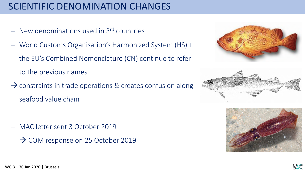### SCIENTIFIC DENOMINATION CHANGES

- New denominations used in 3<sup>rd</sup> countries
- World Customs Organisation's Harmonized System (HS) + the EU's Combined Nomenclature (CN) continue to refer to the previous names
- $\rightarrow$  constraints in trade operations & creates confusion along seafood value chain

- MAC letter sent 3 October 2019
	- $\rightarrow$  COM response on 25 October 2019







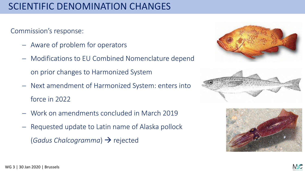### SCIENTIFIC DENOMINATION CHANGES

### Commission's response:

- Aware of problem for operators
- Modifications to EU Combined Nomenclature depend

on prior changes to Harmonized System

- Next amendment of Harmonized System: enters into force in 2022
- Work on amendments concluded in March 2019
- Requested update to Latin name of Alaska pollock (*Gadus Chalcogramma*)  $\rightarrow$  rejected







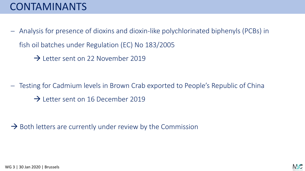## CONTAMINANTS

- Analysis for presence of dioxins and dioxin-like polychlorinated biphenyls (PCBs) in fish oil batches under Regulation (EC) No 183/2005
	- $\rightarrow$  Letter sent on 22 November 2019

- Testing for Cadmium levels in Brown Crab exported to People's Republic of China
	- $\rightarrow$  Letter sent on 16 December 2019

 $\rightarrow$  Both letters are currently under review by the Commission

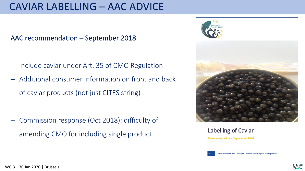### CAVIAR LABELLING – AAC ADVICE

AAC recommendation – September 2018

- Include caviar under Art. 35 of CMO Regulation
- Additional consumer information on front and back of caviar products (not just CITES string)

- Commission response (Oct 2018): difficulty of amending CMO for including single product



Labelling of Caviar **Recommendation - September 2018** he Aquaculture Advisory Council (AAC) gratefully acknowledges EU funding su

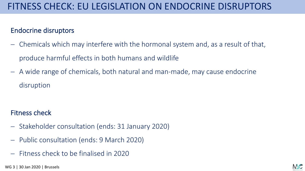### Endocrine disruptors

- Chemicals which may interfere with the hormonal system and, as a result of that, produce harmful effects in both humans and wildlife
- A wide range of chemicals, both natural and man-made, may cause endocrine disruption

### Fitness check

- Stakeholder consultation (ends: 31 January 2020)
- Public consultation (ends: 9 March 2020)
- Fitness check to be finalised in 2020

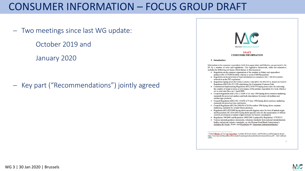### CONSUMER INFORMATION – FOCUS GROUP DRAFT

- Two meetings since last WG update:

October 2019 and

January 2020

- Key part ("Recommendations") jointly agreed



#### **DRAFT CONSUMER INFORMATION**

#### 1. Introduction

Information to the consumer on products, both from aquaculture and fisheries, are governed in the EU by a number of rules and regulations. This legislative framework, while not exhaustive, includes the following provisions which feature in this document:

- Regulation on the common organisation of the markets in fishery and aquaculture products (No 1379/2013) (often referred to as the CMO Regulation)
- Regulation on the provision of food information to consumers (No 1169/2011) (often referred to as the FIC regulation)
- Regulation laying down the Union Customs Code ((EU) No 952/2013), based on Council Regulation (EEC) No 2913/92 establishing the Community Customs Code
- Commission Implementing Regulation (EU) 2018/775 laying down rules for indicating the country of origin or place of provenance of the primary ingredient of a food, which is set to enter into force on 1 April 2020
- Council Regulation (EEC) No 2136/89 of 21 June 1989 laying down common marketing standards for preserved sardines and trade descriptions for preserved sardines and sardine-type products;
- Council Regulation (EEC) No 1536/92 of 9 June 1992 laying down common marketing standards for preserved tuna and bonito;
- Council Regulation (EC) No 2406/96 of 26 November 1996 laying down common marketing standards for certain fishery products;
- Regulation (EC) 853/2004 laying down specific hygiene rules for food of animal origin and Regulation (EC) 854/2004 laying down specific rules for the organisation of official controls on products of animal origin intended for human consumption
- Regulation 104/2000 and Regulation 2065/2001 (replaced by Regulation 1379/2013)
- Various national guidance documents, voluntary standards from national standardisation bodies and private industry standards, e.g. the German Food Book Commission's Leitsätze für Eische, Krebs- und Weichtiere des Deutschen Lebensmittelbuches1

<sup>1</sup> Federal Ministry of Food and Agriculture, 'Leitsätze für Fische, Krebs- und Weichtiere und Erzeugnisse daraus', https://www.bmel.de/SharedDocs/Downloads/Ernaehrung/Lebensmittelbuch/LeitsaetzeFische.pdf? blob=publicati onFile.

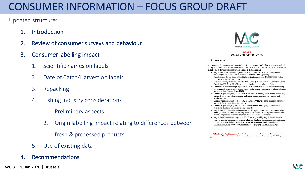## CONSUMER INFORMATION – FOCUS GROUP DRAFT

#### Updated structure:

- 1. Introduction
- 2. Review of consumer surveys and behaviour
- 3. Consumer labelling impact
	- Scientific names on labels
	- 2. Date of Catch/Harvest on labels
	- 3. Repacking
	- 4. Fishing industry considerations
		- 1. Preliminary aspects
		- 2. Origin labelling impact relating to differences between

fresh & processed products

5. Use of existing data

### 4. Recommendations



|         | <b>Market Advisory Council</b>                                                                                                                                                                                                                                       |
|---------|----------------------------------------------------------------------------------------------------------------------------------------------------------------------------------------------------------------------------------------------------------------------|
|         | <b>DRAFT</b>                                                                                                                                                                                                                                                         |
|         | <b>CONSUMER INFORMATION</b>                                                                                                                                                                                                                                          |
|         | 1. Introduction                                                                                                                                                                                                                                                      |
|         | Information to the consumer on products, both from aquaculture and fisheries, are governed in the<br>EU by a number of rules and regulations. This legislative framework, while not exhaustive,<br>includes the following provisions which feature in this document: |
|         | Regulation on the common organisation of the markets in fishery and aquaculture                                                                                                                                                                                      |
|         | products (No 1379/2013) (often referred to as the CMO Regulation)<br>Regulation on the provision of food information to consumers (No 1169/2011) (often<br>referred to as the FIC regulation)                                                                        |
|         | Regulation laying down the Union Customs Code ((EU) No 952/2013), based on Council<br>Regulation (EEC) No 2913/92 establishing the Community Customs Code                                                                                                            |
|         | Commission Implementing Regulation (EU) 2018/775 laying down rules for indicating<br>the country of origin or place of provenance of the primary ingredient of a food, which is<br>set to enter into force on 1 April 2020                                           |
|         | Council Regulation (EEC) No 2136/89 of 21 June 1989 laying down common marketing<br>standards for preserved sardines and trade descriptions for preserved sardines and<br>sardine-type products;                                                                     |
|         | Council Regulation (EEC) No 1536/92 of 9 June 1992 laying down common marketing                                                                                                                                                                                      |
|         | standards for preserved tuna and bonito;<br>Council Regulation (EC) No 2406/96 of 26 November 1996 laying down common                                                                                                                                                |
|         | marketing standards for certain fishery products;<br>Regulation (EC) 853/2004 laying down specific hygiene rules for food of animal origin                                                                                                                           |
|         | and Regulation (EC) 854/2004 laving down specific rules for the organisation of official<br>controls on products of animal origin intended for human consumption                                                                                                     |
|         | Regulation 104/2000 and Regulation 2065/2001 (replaced by Regulation 1379/2013)                                                                                                                                                                                      |
|         | Various national guidance documents, voluntary standards from national standardisation<br>bodies and private industry standards, e.g. the German Food Book Commission's<br>Leitsätze für Fische, Krebs- und Weichtiere des Deutschen Lebensmittelbuches <sup>1</sup> |
|         |                                                                                                                                                                                                                                                                      |
| onFile. | Federal Ministry of Food and Agriculture, 'Leitsätze für Fische, Krebs- und Weichtiere und Erzeugnisse daraus'.<br>https://www.bmel.de/SharedDocs/Downloads/Ernaehrung/Lebensmittelbuch/LeitsaetzeFische.pdf? blob=publicati                                         |
|         |                                                                                                                                                                                                                                                                      |
|         |                                                                                                                                                                                                                                                                      |
|         |                                                                                                                                                                                                                                                                      |

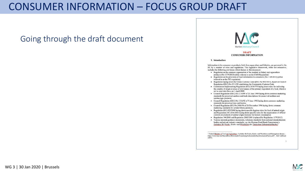### CONSUMER INFORMATION – FOCUS GROUP DRAFT

Going through the draft document



#### **DRAFT CONSUMER INFORMATION**

#### 1. Introduction

Information to the consumer on products, both from aquaculture and fisheries, are governed in the EU by a number of rules and regulations. This legislative framework, while not exhaustive, includes the following provisions which feature in this document:

- Regulation on the common organisation of the markets in fishery and aquaculture products (No 1379/2013) (often referred to as the CMO Regulation)
- Regulation on the provision of food information to consumers (No 1169/2011) (often referred to as the FIC regulation)
- Regulation laying down the Union Customs Code ((EU) No 952/2013), based on Council Regulation (EEC) No 2913/92 establishing the Community Customs Code
- Commission Implementing Regulation (EU) 2018/775 laying down rules for indicating the country of origin or place of provenance of the primary ingredient of a food, which is set to enter into force on 1 April 2020
- Council Regulation (EEC) No 2136/89 of 21 June 1989 laying down common marketing standards for preserved sardines and trade descriptions for preserved sardines and sardine-type products;
- Council Regulation (EEC) No 1536/92 of 9 June 1992 laying down common marketing standards for preserved tuna and bonito;
- Council Regulation (EC) No 2406/96 of 26 November 1996 laying down common marketing standards for certain fishery products;
- Regulation (EC) 853/2004 laying down specific hygiene rules for food of animal origin and Regulation (EC) 854/2004 laying down specific rules for the organisation of official controls on products of animal origin intended for human consumption
- Regulation 104/2000 and Regulation 2065/2001 (replaced by Regulation 1379/2013)
- Various national guidance documents, voluntary standards from national standardisation bodies and private industry standards, e.g. the German Food Book Commission's Leitsätze für Eische, Krebs- und Weichtiere des Deutschen Lebensmittelbuches1

<sup>1</sup> Federal Ministry of Food and Agriculture, 'Leitsätze für Fische, Krebs- und Weichtiere und Erzeugnisse daraus', https://www.bmel.de/SharedDocs/Downloads/Ernaehrung/Lebensmittelbuch/LeitsaetzeFische.pdf? blob=publicati onFile.

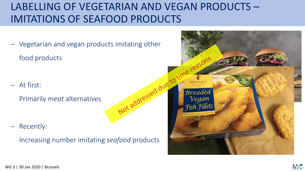## LABELLING OF VEGETARIAN AND VEGAN PRODUCTS – IMITATIONS OF SEAFOOD PRODUCTS

- Vegetarian and vegan products imitating other food products

- At first:

Primarily *meat* alternatives

- Recently:

Increasing number imitating *seafood* products



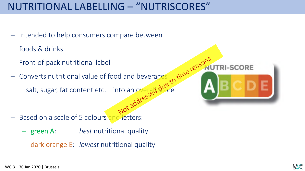## NUTRITIONAL LABELLING – "NUTRISCORES"

- Intended to help consumers compare between

foods & drinks

- Front-of-pack nutritional label
- Converts nutritional value of food and beverages

—salt, sugar, fat content etc.—into an overal score

- Based on a scale of 5 colours and letters:
	- green A: *best* nutritional quality
	- dark orange E: *lowest* nutritional quality